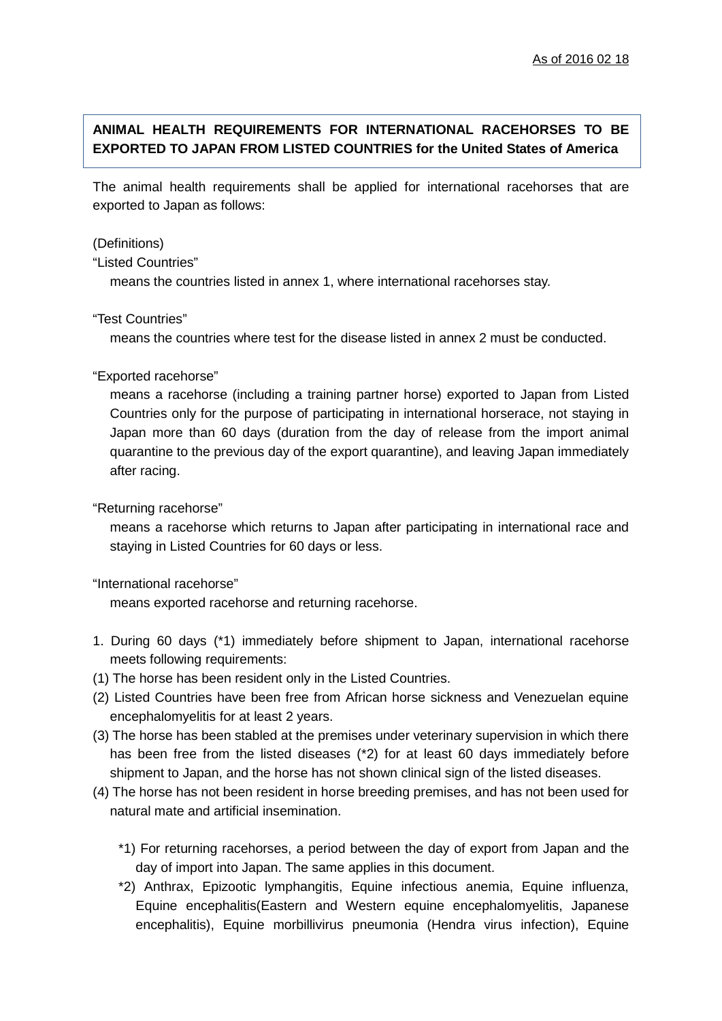# **ANIMAL HEALTH REQUIREMENTS FOR INTERNATIONAL RACEHORSES TO BE EXPORTED TO JAPAN FROM LISTED COUNTRIES for the United States of America**

The animal health requirements shall be applied for international racehorses that are exported to Japan as follows:

### (Definitions)

#### "Listed Countries"

means the countries listed in annex 1, where international racehorses stay.

#### "Test Countries"

means the countries where test for the disease listed in annex 2 must be conducted.

## "Exported racehorse"

means a racehorse (including a training partner horse) exported to Japan from Listed Countries only for the purpose of participating in international horserace, not staying in Japan more than 60 days (duration from the day of release from the import animal quarantine to the previous day of the export quarantine), and leaving Japan immediately after racing.

### "Returning racehorse"

means a racehorse which returns to Japan after participating in international race and staying in Listed Countries for 60 days or less.

## "International racehorse"

means exported racehorse and returning racehorse.

- 1. During 60 days (\*1) immediately before shipment to Japan, international racehorse meets following requirements:
- (1) The horse has been resident only in the Listed Countries.
- (2) Listed Countries have been free from African horse sickness and Venezuelan equine encephalomyelitis for at least 2 years.
- (3) The horse has been stabled at the premises under veterinary supervision in which there has been free from the listed diseases (\*2) for at least 60 days immediately before shipment to Japan, and the horse has not shown clinical sign of the listed diseases.
- (4) The horse has not been resident in horse breeding premises, and has not been used for natural mate and artificial insemination.
	- \*1) For returning racehorses, a period between the day of export from Japan and the day of import into Japan. The same applies in this document.
	- \*2) Anthrax, Epizootic lymphangitis, Equine infectious anemia, Equine influenza, Equine encephalitis(Eastern and Western equine encephalomyelitis, Japanese encephalitis), Equine morbillivirus pneumonia (Hendra virus infection), Equine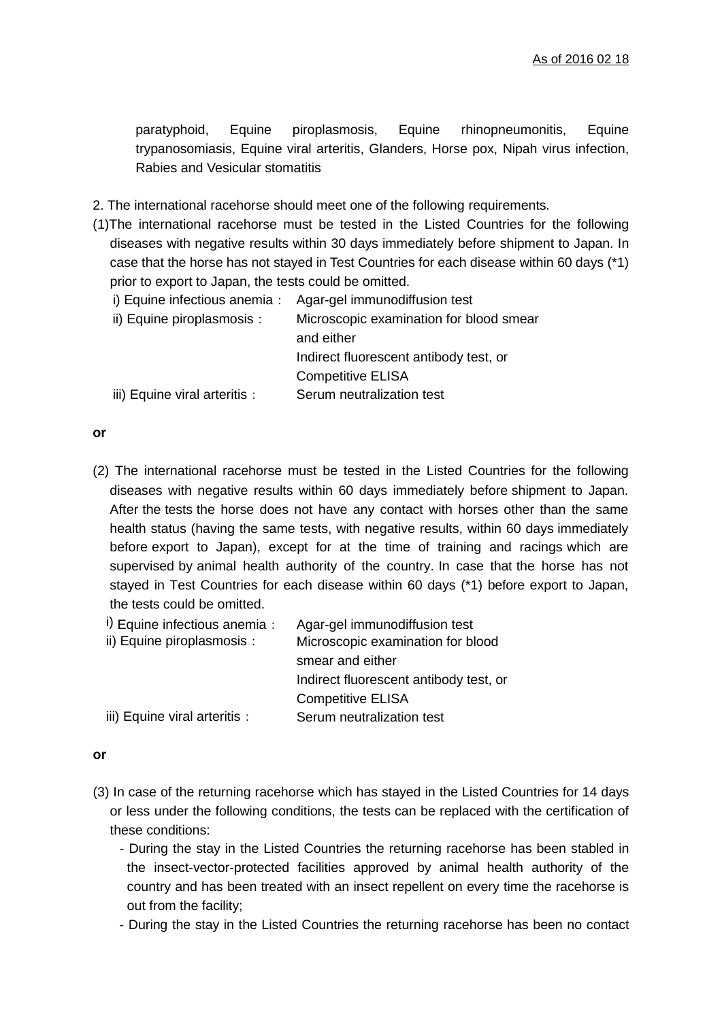paratyphoid, Equine piroplasmosis, Equine rhinopneumonitis, Equine trypanosomiasis, Equine viral arteritis, Glanders, Horse pox, Nipah virus infection, Rabies and Vesicular stomatitis

2. The international racehorse should meet one of the following requirements.

(1)The international racehorse must be tested in the Listed Countries for the following diseases with negative results within 30 days immediately before shipment to Japan. In case that the horse has not stayed in Test Countries for each disease within 60 days (\*1) prior to export to Japan, the tests could be omitted.

| i) Equine infectious anemia : | Agar-gel immunodiffusion test           |
|-------------------------------|-----------------------------------------|
| ii) Equine piroplasmosis :    | Microscopic examination for blood smear |
|                               | and either                              |
|                               | Indirect fluorescent antibody test, or  |
|                               | <b>Competitive ELISA</b>                |
| iii) Equine viral arteritis : | Serum neutralization test               |

#### **or**

(2) The international racehorse must be tested in the Listed Countries for the following diseases with negative results within 60 days immediately before shipment to Japan. After the tests the horse does not have any contact with horses other than the same health status (having the same tests, with negative results, within 60 days immediately before export to Japan), except for at the time of training and racings which are supervised by animal health authority of the country. In case that the horse has not stayed in Test Countries for each disease within 60 days (\*1) before export to Japan, the tests could be omitted.

| i) Equine infectious anemia : | Agar-gel immunodiffusion test          |
|-------------------------------|----------------------------------------|
| ii) Equine piroplasmosis :    | Microscopic examination for blood      |
|                               | smear and either                       |
|                               | Indirect fluorescent antibody test, or |
|                               | <b>Competitive ELISA</b>               |
| iii) Equine viral arteritis : | Serum neutralization test              |

#### **or**

- (3) In case of the returning racehorse which has stayed in the Listed Countries for 14 days or less under the following conditions, the tests can be replaced with the certification of these conditions:
	- During the stay in the Listed Countries the returning racehorse has been stabled in the insect-vector-protected facilities approved by animal health authority of the country and has been treated with an insect repellent on every time the racehorse is out from the facility;
	- During the stay in the Listed Countries the returning racehorse has been no contact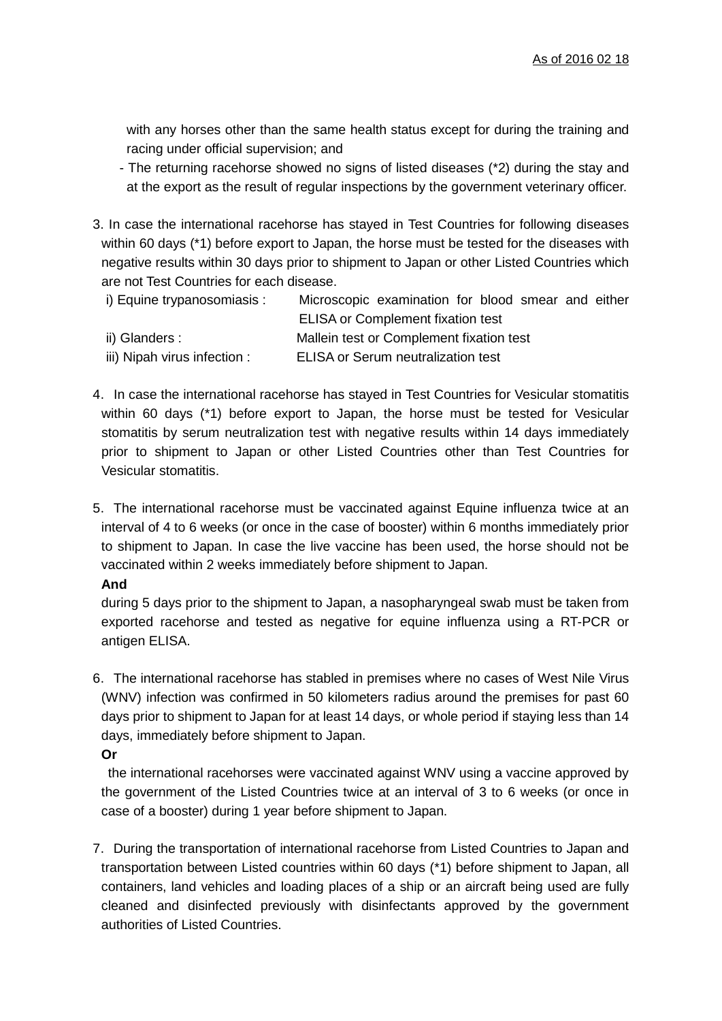with any horses other than the same health status except for during the training and racing under official supervision; and

- The returning racehorse showed no signs of listed diseases (\*2) during the stay and at the export as the result of regular inspections by the government veterinary officer.
- 3. In case the international racehorse has stayed in Test Countries for following diseases within 60 days (\*1) before export to Japan, the horse must be tested for the diseases with negative results within 30 days prior to shipment to Japan or other Listed Countries which are not Test Countries for each disease.

| i) Equine trypanosomiasis :  | Microscopic examination for blood smear and either |
|------------------------------|----------------------------------------------------|
|                              | <b>ELISA or Complement fixation test</b>           |
| ii) Glanders :               | Mallein test or Complement fixation test           |
| iii) Nipah virus infection : | <b>ELISA or Serum neutralization test</b>          |

- 4.In case the international racehorse has stayed in Test Countries for Vesicular stomatitis within 60 days (\*1) before export to Japan, the horse must be tested for Vesicular stomatitis by serum neutralization test with negative results within 14 days immediately prior to shipment to Japan or other Listed Countries other than Test Countries for Vesicular stomatitis.
- 5.The international racehorse must be vaccinated against Equine influenza twice at an interval of 4 to 6 weeks (or once in the case of booster) within 6 months immediately prior to shipment to Japan. In case the live vaccine has been used, the horse should not be vaccinated within 2 weeks immediately before shipment to Japan.

## **And**

during 5 days prior to the shipment to Japan, a nasopharyngeal swab must be taken from exported racehorse and tested as negative for equine influenza using a RT-PCR or antigen ELISA.

- 6.The international racehorse has stabled in premises where no cases of West Nile Virus (WNV) infection was confirmed in 50 kilometers radius around the premises for past 60 days prior to shipment to Japan for at least 14 days, or whole period if staying less than 14 days, immediately before shipment to Japan.
	- **Or**

the international racehorses were vaccinated against WNV using a vaccine approved by the government of the Listed Countries twice at an interval of 3 to 6 weeks (or once in case of a booster) during 1 year before shipment to Japan.

7. During the transportation of international racehorse from Listed Countries to Japan and transportation between Listed countries within 60 days (\*1) before shipment to Japan, all containers, land vehicles and loading places of a ship or an aircraft being used are fully cleaned and disinfected previously with disinfectants approved by the government authorities of Listed Countries.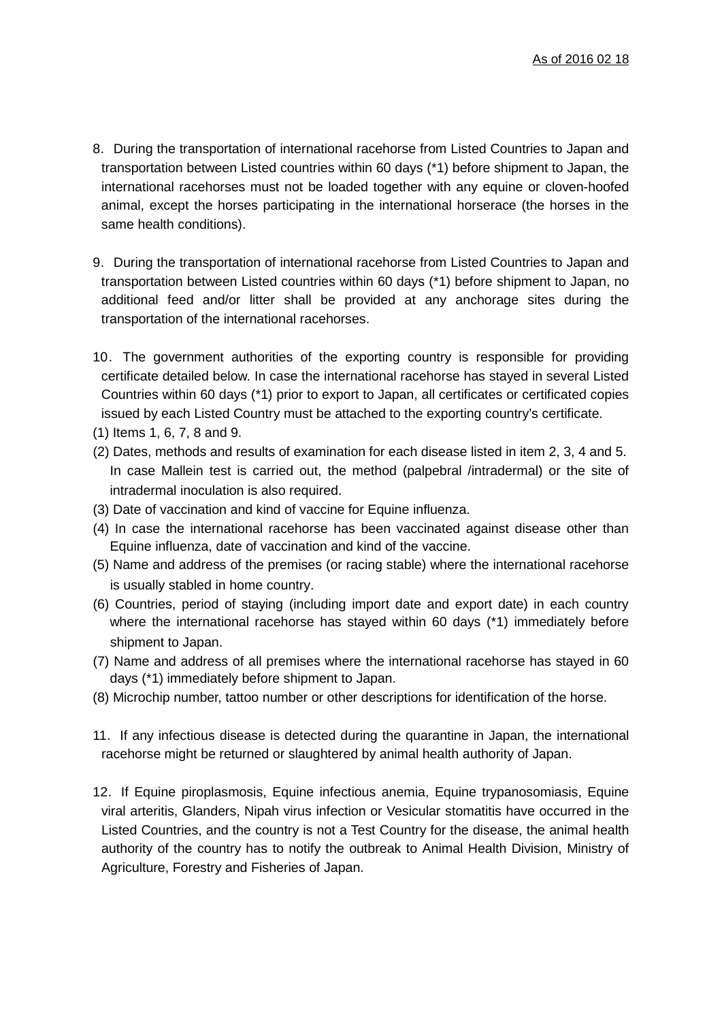- 8.During the transportation of international racehorse from Listed Countries to Japan and transportation between Listed countries within 60 days (\*1) before shipment to Japan, the international racehorses must not be loaded together with any equine or cloven-hoofed animal, except the horses participating in the international horserace (the horses in the same health conditions).
- 9.During the transportation of international racehorse from Listed Countries to Japan and transportation between Listed countries within 60 days (\*1) before shipment to Japan, no additional feed and/or litter shall be provided at any anchorage sites during the transportation of the international racehorses.
- 10.The government authorities of the exporting country is responsible for providing certificate detailed below. In case the international racehorse has stayed in several Listed Countries within 60 days (\*1) prior to export to Japan, all certificates or certificated copies issued by each Listed Country must be attached to the exporting country's certificate.
- (1) Items 1, 6, 7, 8 and 9.
- (2) Dates, methods and results of examination for each disease listed in item 2, 3, 4 and 5. In case Mallein test is carried out, the method (palpebral /intradermal) or the site of intradermal inoculation is also required.
- (3) Date of vaccination and kind of vaccine for Equine influenza.
- (4) In case the international racehorse has been vaccinated against disease other than Equine influenza, date of vaccination and kind of the vaccine.
- (5) Name and address of the premises (or racing stable) where the international racehorse is usually stabled in home country.
- (6) Countries, period of staying (including import date and export date) in each country where the international racehorse has stayed within 60 days (\*1) immediately before shipment to Japan.
- (7) Name and address of all premises where the international racehorse has stayed in 60 days (\*1) immediately before shipment to Japan.
- (8) Microchip number, tattoo number or other descriptions for identification of the horse.
- 11. If any infectious disease is detected during the quarantine in Japan, the international racehorse might be returned or slaughtered by animal health authority of Japan.
- 12.If Equine piroplasmosis, Equine infectious anemia, Equine trypanosomiasis, Equine viral arteritis, Glanders, Nipah virus infection or Vesicular stomatitis have occurred in the Listed Countries, and the country is not a Test Country for the disease, the animal health authority of the country has to notify the outbreak to Animal Health Division, Ministry of Agriculture, Forestry and Fisheries of Japan.